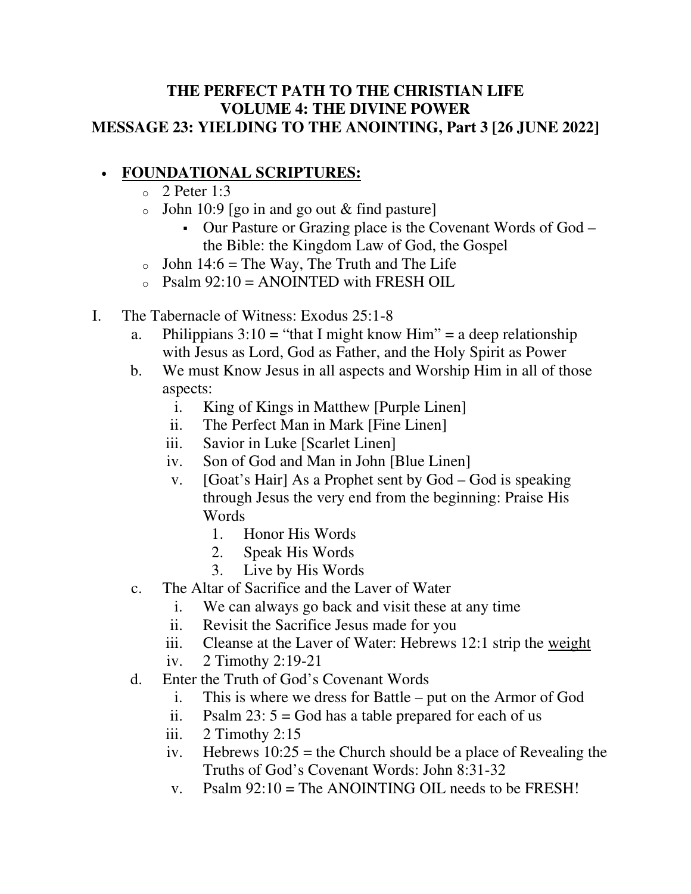## **THE PERFECT PATH TO THE CHRISTIAN LIFE VOLUME 4: THE DIVINE POWER MESSAGE 23: YIELDING TO THE ANOINTING, Part 3 [26 JUNE 2022]**

## • **FOUNDATIONAL SCRIPTURES:**

- $\degree$  2 Peter 1:3
- $\circ$  John 10:9 [go in and go out & find pasture]
	- Our Pasture or Grazing place is the Covenant Words of God the Bible: the Kingdom Law of God, the Gospel
- $\circ$  John 14:6 = The Way, The Truth and The Life
- $\Omega_{\text{S}}$  Psalm 92:10 = ANOINTED with FRESH OIL
- I. The Tabernacle of Witness: Exodus 25:1-8
	- a. Philippians  $3:10 =$  "that I might know Him" = a deep relationship with Jesus as Lord, God as Father, and the Holy Spirit as Power
	- b. We must Know Jesus in all aspects and Worship Him in all of those aspects:
		- i. King of Kings in Matthew [Purple Linen]
		- ii. The Perfect Man in Mark [Fine Linen]
		- iii. Savior in Luke [Scarlet Linen]
		- iv. Son of God and Man in John [Blue Linen]
		- v. [Goat's Hair] As a Prophet sent by God God is speaking through Jesus the very end from the beginning: Praise His **Words** 
			- 1. Honor His Words
			- 2. Speak His Words
			- 3. Live by His Words
	- c. The Altar of Sacrifice and the Laver of Water
		- i. We can always go back and visit these at any time
		- ii. Revisit the Sacrifice Jesus made for you
		- iii. Cleanse at the Laver of Water: Hebrews 12:1 strip the weight
		- iv. 2 Timothy 2:19-21
	- d. Enter the Truth of God's Covenant Words
		- i. This is where we dress for Battle put on the Armor of God
		- ii. Psalm  $23: 5 = God$  has a table prepared for each of us
		- iii.  $2$  Timothy 2:15
		- iv. Hebrews  $10:25$  = the Church should be a place of Revealing the Truths of God's Covenant Words: John 8:31-32
		- v. Psalm  $92:10$  = The ANOINTING OIL needs to be FRESH!